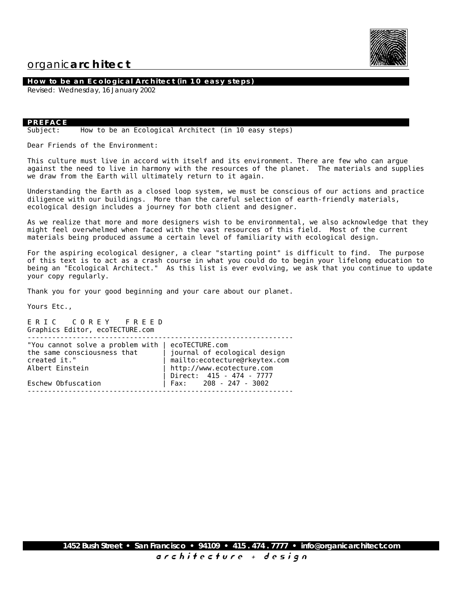

#### **How to be an Ecological Architect (in 10 easy steps)**

Revised: Wednesday, 16 January 2002

#### **PREFACE**

Subject: How to be an Ecological Architect (in 10 easy steps)

Dear Friends of the Environment:

This culture must live in accord with itself and its environment. There are few who can argue against the need to live in harmony with the resources of the planet. The materials and supplies we draw from the Earth will ultimately return to it again.

Understanding the Earth as a closed loop system, we must be conscious of our actions and practice diligence with our buildings. More than the careful selection of earth-friendly materials, ecological design includes a journey for both client and designer.

As we realize that more and more designers wish to be environmental, we also acknowledge that they might feel overwhelmed when faced with the vast resources of this field. Most of the current materials being produced assume a certain level of familiarity with ecological design.

For the aspiring ecological designer, a clear "starting point" is difficult to find. The purpose of this text is to act as a crash course in what you could do to begin your lifelong education to being an "Ecological Architect." As this list is ever evolving, we ask that you continue to update your copy regularly.

Thank you for your good beginning and your care about our planet.

Yours Etc.,

E R I C C O R E Y F R E E D Graphics Editor, ecoTECTURE.com

| "You cannot solve a problem with $ $ ecoTECTURE.com |                                |
|-----------------------------------------------------|--------------------------------|
| the same consciousness that                         | journal of ecological design   |
| created it."                                        | mailto: ecotecture@rkeytex.com |
| Albert Einstein                                     | http://www.ecotecture.com      |
|                                                     | Direct: 415 - 474 - 7777       |
| Eschew Obfuscation                                  | Fax: $208 - 247 - 3002$        |
|                                                     |                                |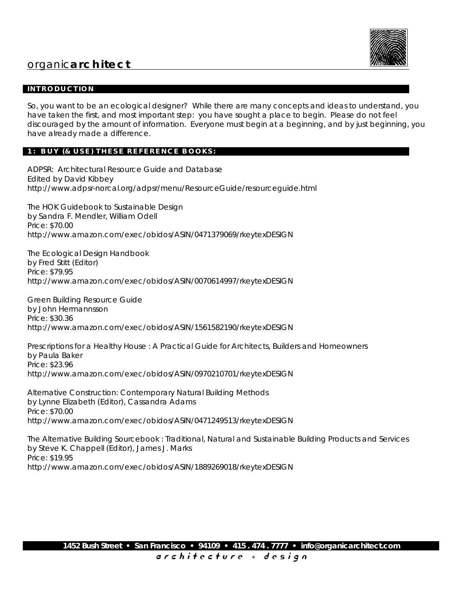

### **INTRODUCTION**

So, you want to be an ecological designer? While there are many concepts and ideas to understand, you have taken the first, and most important step: you have sought a place to begin. Please do not feel discouraged by the amount of information. Everyone must begin at a beginning, and by just beginning, you have already made a difference.

### **1: BUY (& USE) THESE REFERENCE BOOKS:**

ADPSR: Architectural Resource Guide and Database Edited by David Kibbey http://www.adpsr-norcal.org/adpsr/menu/ResourceGuide/resourceguide.html

The HOK Guidebook to Sustainable Design by Sandra F. Mendler, William Odell Price: \$70.00 http://www.amazon.com/exec/obidos/ASIN/0471379069/rkeytexDESIGN

The Ecological Design Handbook by Fred Stitt (Editor) Price: \$79.95 http://www.amazon.com/exec/obidos/ASIN/0070614997/rkeytexDESIGN

Green Building Resource Guide by John Hermannsson Price: \$30.36 http://www.amazon.com/exec/obidos/ASIN/1561582190/rkeytexDESIGN

Prescriptions for a Healthy House : A Practical Guide for Architects, Builders and Homeowners by Paula Baker Price: \$23.96 http://www.amazon.com/exec/obidos/ASIN/0970210701/rkeytexDESIGN

Alternative Construction: Contemporary Natural Building Methods by Lynne Elizabeth (Editor), Cassandra Adams Price: \$70.00 http://www.amazon.com/exec/obidos/ASIN/0471249513/rkeytexDESIGN

The Alternative Building Sourcebook : Traditional, Natural and Sustainable Building Products and Services by Steve K. Chappell (Editor), James J. Marks Price: \$19.95 http://www.amazon.com/exec/obidos/ASIN/1889269018/rkeytexDESIGN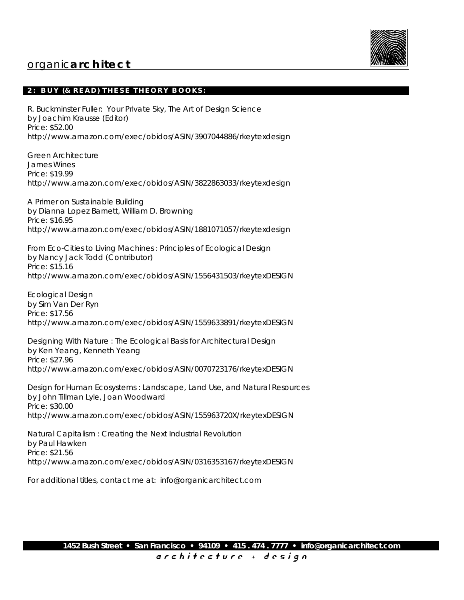

### **2: BUY (& READ) THESE THEORY BOOKS:**

R. Buckminster Fuller: Your Private Sky, The Art of Design Science by Joachim Krausse (Editor) Price: \$52.00 http://www.amazon.com/exec/obidos/ASIN/3907044886/rkeytexdesign

Green Architecture James Wines Price: \$19.99 http://www.amazon.com/exec/obidos/ASIN/3822863033/rkeytexdesign

A Primer on Sustainable Building by Dianna Lopez Barnett, William D. Browning Price: \$16.95 http://www.amazon.com/exec/obidos/ASIN/1881071057/rkeytexdesign

From Eco-Cities to Living Machines : Principles of Ecological Design by Nancy Jack Todd (Contributor) Price: \$15.16 http://www.amazon.com/exec/obidos/ASIN/1556431503/rkeytexDESIGN

Ecological Design by Sim Van Der Ryn Price: \$17.56 http://www.amazon.com/exec/obidos/ASIN/1559633891/rkeytexDESIGN

Designing With Nature : The Ecological Basis for Architectural Design by Ken Yeang, Kenneth Yeang Price: \$27.96 http://www.amazon.com/exec/obidos/ASIN/0070723176/rkeytexDESIGN

Design for Human Ecosystems : Landscape, Land Use, and Natural Resources by John Tillman Lyle, Joan Woodward Price: \$30.00 http://www.amazon.com/exec/obidos/ASIN/155963720X/rkeytexDESIGN

Natural Capitalism : Creating the Next Industrial Revolution by Paul Hawken Price: \$21.56 http://www.amazon.com/exec/obidos/ASIN/0316353167/rkeytexDESIGN

For additional titles, contact me at: info@organicarchitect.com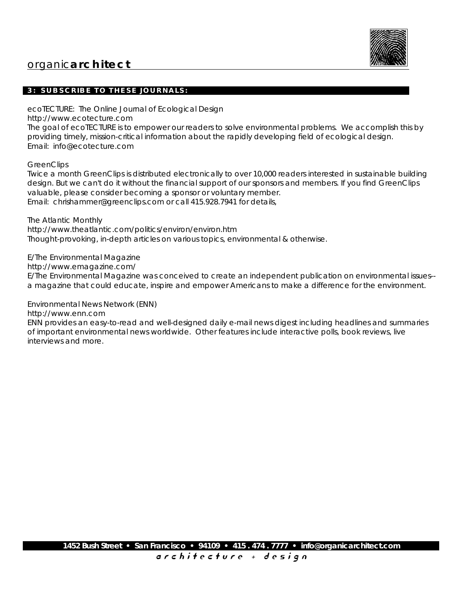

### **3: SUBSCRIBE TO THESE JOURNALS:**

ecoTECTURE: The Online Journal of Ecological Design http://www.ecotecture.com The goal of ecoTECTURE is to empower our readers to solve environmental problems. We accomplish this by providing timely, mission-critical information about the rapidly developing field of ecological design. Email: info@ecotecture.com

**GreenClips** 

Twice a month GreenClips is distributed electronically to over 10,000 readers interested in sustainable building design. But we can't do it without the financial support of our sponsors and members. If you find GreenClips valuable, please consider becoming a sponsor or voluntary member. Email: chrishammer@greenclips.com or call 415.928.7941 for details,

The Atlantic Monthly http://www.theatlantic.com/politics/environ/environ.htm Thought-provoking, in-depth articles on various topics, environmental & otherwise.

E/The Environmental Magazine

http://www.emagazine.com/

E/The Environmental Magazine was conceived to create an independent publication on environmental issues- a magazine that could educate, inspire and empower Americans to make a difference for the environment.

Environmental News Network (ENN)

http://www.enn.com

ENN provides an easy-to-read and well-designed daily e-mail news digest including headlines and summaries of important environmental news worldwide. Other features include interactive polls, book reviews, live interviews and more.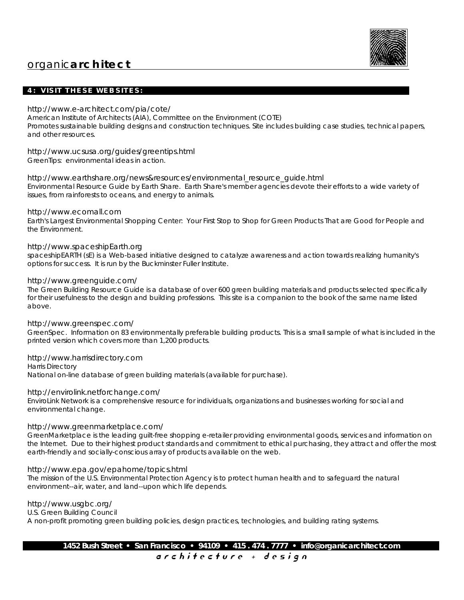

### **4: VISIT THESE WEBSITES:**

#### http://www.e-architect.com/pia/cote/

American Institute of Architects (AIA), Committee on the Environment (COTE) Promotes sustainable building designs and construction techniques. Site includes building case studies, technical papers, and other resources.

http://www.ucsusa.org/guides/greentips.html GreenTips: environmental ideas in action.

http://www.earthshare.org/news&resources/environmental\_resource\_guide.html

Environmental Resource Guide by Earth Share. Earth Share's member agencies devote their efforts to a wide variety of issues, from rainforests to oceans, and energy to animals.

#### http://www.ecomall.com

Earth's Largest Environmental Shopping Center: Your First Stop to Shop for Green Products That are Good for People and the Environment.

#### http://www.spaceshipEarth.org

spaceshipEARTH (sE) is a Web-based initiative designed to catalyze awareness and action towards realizing humanity's options for success. It is run by the Buckminster Fuller Institute.

#### http://www.greenguide.com/

The Green Building Resource Guide is a database of over 600 green building materials and products selected specifically for their usefulness to the design and building professions. This site is a companion to the book of the same name listed above.

#### http://www.greenspec.com/

GreenSpec. Information on 83 environmentally preferable building products. This is a small sample of what is included in the printed version which covers more than 1,200 products.

#### http://www.harrisdirectory.com

Harris Directory National on-line database of green building materials (available for purchase).

#### http://envirolink.netforchange.com/

EnviroLink Network is a comprehensive resource for individuals, organizations and businesses working for social and environmental change.

#### http://www.greenmarketplace.com/

GreenMarketplace is the leading guilt-free shopping e-retailer providing environmental goods, services and information on the Internet. Due to their highest product standards and commitment to ethical purchasing, they attract and offer the most earth-friendly and socially-conscious array of products available on the web.

#### http://www.epa.gov/epahome/topics.html

The mission of the U.S. Environmental Protection Agency is to protect human health and to safeguard the natural environment--air, water, and land--upon which life depends.

#### http://www.usgbc.org/

U.S. Green Building Council

A non-profit promoting green building policies, design practices, technologies, and building rating systems.

**1452 Bush Street • San Francisco • 94109 • 415 . 474 . 7777 • info@organicarchitect.com** a r c h i t e c t u r e + d e s i g n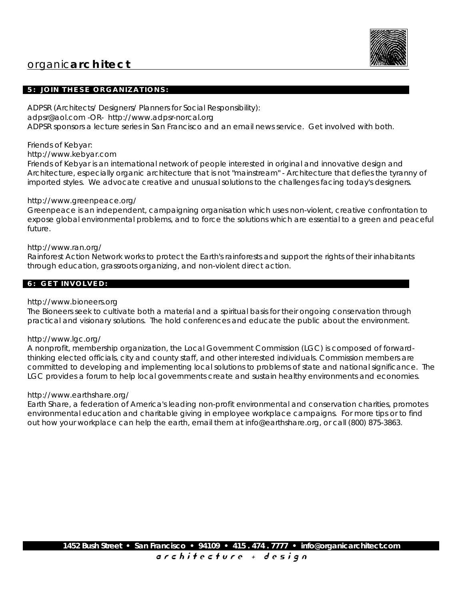

### **5: JOIN THESE ORGANIZATIONS:**

ADPSR (Architects/ Designers/ Planners for Social Responsibility): adpsr@aol.com -OR- http://www.adpsr-norcal.org ADPSR sponsors a lecture series in San Francisco and an email news service. Get involved with both.

Friends of Kebyar:

### http://www.kebyar.com

Friends of Kebyar is an international network of people interested in original and innovative design and Architecture, especially organic architecture that is not "mainstream" - Architecture that defies the tyranny of imported styles. We advocate creative and unusual solutions to the challenges facing today's designers.

### http://www.greenpeace.org/

Greenpeace is an independent, campaigning organisation which uses non-violent, creative confrontation to expose global environmental problems, and to force the solutions which are essential to a green and peaceful future.

### http://www.ran.org/

Rainforest Action Network works to protect the Earth's rainforests and support the rights of their inhabitants through education, grassroots organizing, and non-violent direct action.

### **6: GET INVOLVED:**

#### http://www.bioneers.org

The Bioneers seek to cultivate both a material and a spiritual basis for their ongoing conservation through practical and visionary solutions. The hold conferences and educate the public about the environment.

#### http://www.lgc.org/

A nonprofit, membership organization, the Local Government Commission (LGC) is composed of forwardthinking elected officials, city and county staff, and other interested individuals. Commission members are committed to developing and implementing local solutions to problems of state and national significance. The LGC provides a forum to help local governments create and sustain healthy environments and economies.

#### http://www.earthshare.org/

Earth Share, a federation of America's leading non-profit environmental and conservation charities, promotes environmental education and charitable giving in employee workplace campaigns. For more tips or to find out how your workplace can help the earth, email them at info@earthshare.org, or call (800) 875-3863.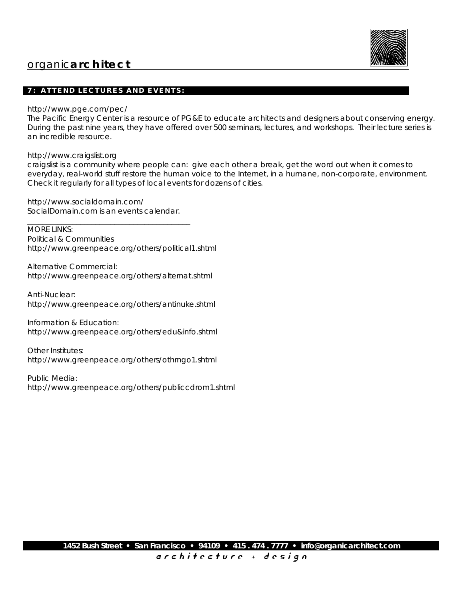

### **7: ATTEND LECTURES AND EVENTS:**

http://www.pge.com/pec/

The Pacific Energy Center is a resource of PG&E to educate architects and designers about conserving energy. During the past nine years, they have offered over 500 seminars, lectures, and workshops. Their lecture series is an incredible resource.

http://www.craigslist.org

craigslist is a community where people can: give each other a break, get the word out when it comes to everyday, real-world stuff restore the human voice to the Internet, in a humane, non-corporate, environment. Check it regularly for all types of local events for dozens of cities.

http://www.socialdomain.com/ SocialDomain.com is an events calendar.

\_\_\_\_\_\_\_\_\_\_\_\_\_\_\_\_\_\_\_\_\_\_\_\_\_\_\_\_\_\_\_\_\_\_\_\_\_\_\_\_\_\_\_

MORE LINKS: Political & Communities http://www.greenpeace.org/others/political1.shtml

Alternative Commercial: http://www.greenpeace.org/others/alternat.shtml

Anti-Nuclear: http://www.greenpeace.org/others/antinuke.shtml

Information & Education: http://www.greenpeace.org/others/edu&info.shtml

Other Institutes: http://www.greenpeace.org/others/othrngo1.shtml

Public Media: http://www.greenpeace.org/others/publiccdrom1.shtml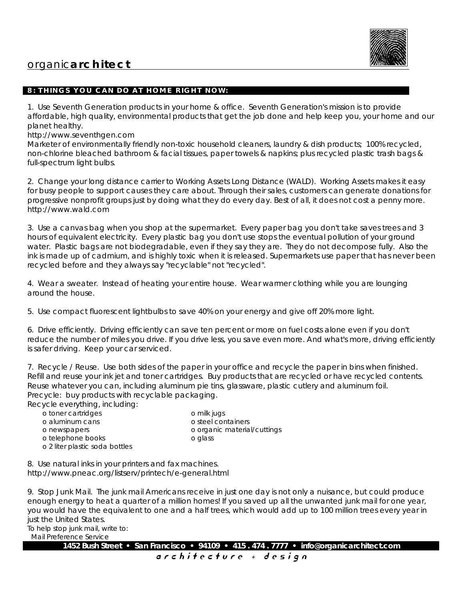

### **8: THINGS YOU CAN DO AT HOME RIGHT NOW:**

1. Use Seventh Generation products in your home & office. Seventh Generation's mission is to provide affordable, high quality, environmental products that get the job done and help keep you, your home and our planet healthy.

http://www.seventhgen.com

Marketer of environmentally friendly non-toxic household cleaners, laundry & dish products; 100% recycled, non-chlorine bleached bathroom & facial tissues, paper towels & napkins; plus recycled plastic trash bags & full-spectrum light bulbs.

2. Change your long distance carrier to Working Assets Long Distance (WALD). Working Assets makes it easy for busy people to support causes they care about. Through their sales, customers can generate donations for progressive nonprofit groups just by doing what they do every day. Best of all, it does not cost a penny more. http://www.wald.com

3. Use a canvas bag when you shop at the supermarket. Every paper bag you don't take saves trees and 3 hours of equivalent electricity. Every plastic bag you don't use stops the eventual pollution of your ground water. Plastic bags are not biodegradable, even if they say they are. They do not decompose fully. Also the ink is made up of cadmium, and is highly toxic when it is released. Supermarkets use paper that has never been recycled before and they always say "recyclable" not "recycled".

4. Wear a sweater. Instead of heating your entire house. Wear warmer clothing while you are lounging around the house.

5. Use compact fluorescent lightbulbs to save 40% on your energy and give off 20% more light.

6. Drive efficiently. Driving efficiently can save ten percent or more on fuel costs alone even if you don't reduce the number of miles you drive. If you drive less, you save even more. And what's more, driving efficiently is safer driving. Keep your car serviced.

7. Recycle / Reuse. Use both sides of the paper in your office and recycle the paper in bins when finished. Refill and reuse your ink jet and toner cartridges. Buy products that are recycled or have recycled contents. Reuse whatever you can, including aluminum pie tins, glassware, plastic cutlery and aluminum foil. Precycle: buy products with recyclable packaging.

Recycle everything, including:

| o toner cartridges             | o milk jugs                 |
|--------------------------------|-----------------------------|
| o aluminum cans                | o steel containers          |
| o newspapers                   | o organic material/cuttings |
| o telephone books              | o glass                     |
| o 2 liter plastic soda bottles |                             |

8. Use natural inks in your printers and fax machines. http://www.pneac.org/listserv/printech/e-general.html

9. Stop Junk Mail. The junk mail Americans receive in just one day is not only a nuisance, but could produce enough energy to heat a quarter of a million homes! If you saved up all the unwanted junk mail for one year, you would have the equivalent to one and a half trees, which would add up to 100 million trees every year in just the United States.

To help stop junk mail, write to:

Mail Preference Service

**1452 Bush Street • San Francisco • 94109 • 415 . 474 . 7777 • info@organicarchitect.com**

a r c h i t e c t u r e + d e s i g n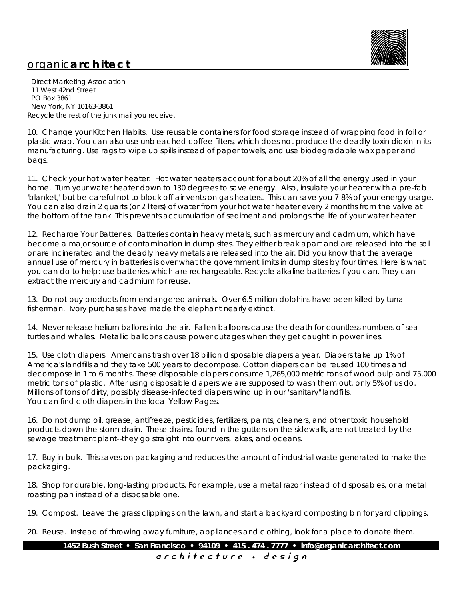

 Direct Marketing Association 11 West 42nd Street PO Box 3861 New York, NY 10163-3861 Recycle the rest of the junk mail you receive.

10. Change your Kitchen Habits. Use reusable containers for food storage instead of wrapping food in foil or plastic wrap. You can also use unbleached coffee filters, which does not produce the deadly toxin dioxin in its manufacturing. Use rags to wipe up spills instead of paper towels, and use biodegradable wax paper and bags.

11. Check your hot water heater. Hot water heaters account for about 20% of all the energy used in your home. Turn your water heater down to 130 degrees to save energy. Also, insulate your heater with a pre-fab 'blanket,' but be careful not to block off air vents on gas heaters. This can save you 7-8% of your energy usage. You can also drain 2 quarts (or 2 liters) of water from your hot water heater every 2 months from the valve at the bottom of the tank. This prevents accumulation of sediment and prolongs the life of your water heater.

12. Recharge Your Batteries. Batteries contain heavy metals, such as mercury and cadmium, which have become a major source of contamination in dump sites. They either break apart and are released into the soil or are incinerated and the deadly heavy metals are released into the air. Did you know that the average annual use of mercury in batteries is over what the government limits in dump sites by four times. Here is what you can do to help: use batteries which are rechargeable. Recycle alkaline batteries if you can. They can extract the mercury and cadmium for reuse.

13. Do not buy products from endangered animals. Over 6.5 million dolphins have been killed by tuna fisherman. Ivory purchases have made the elephant nearly extinct.

14. Never release helium ballons into the air. Fallen balloons cause the death for countless numbers of sea turtles and whales. Metallic balloons cause power outages when they get caught in power lines.

15. Use cloth diapers. Americans trash over 18 billion disposable diapers a year. Diapers take up 1% of America's landfills and they take 500 years to decompose. Cotton diapers can be reused 100 times and decompose in 1 to 6 months. These disposable diapers consume 1,265,000 metric tons of wood pulp and 75,000 metric tons of plastic. After using disposable diapers we are supposed to wash them out, only 5% of us do. Millions of tons of dirty, possibly disease-infected diapers wind up in our "sanitary" landfills. You can find cloth diapers in the local Yellow Pages.

16. Do not dump oil, grease, antifreeze, pesticides, fertilizers, paints, cleaners, and other toxic household products down the storm drain. These drains, found in the gutters on the sidewalk, are not treated by the sewage treatment plant--they go straight into our rivers, lakes, and oceans.

17. Buy in bulk. This saves on packaging and reduces the amount of industrial waste generated to make the packaging.

18. Shop for durable, long-lasting products. For example, use a metal razor instead of disposables, or a metal roasting pan instead of a disposable one.

19. Compost. Leave the grass clippings on the lawn, and start a backyard composting bin for yard clippings.

20. Reuse. Instead of throwing away furniture, appliances and clothing, look for a place to donate them.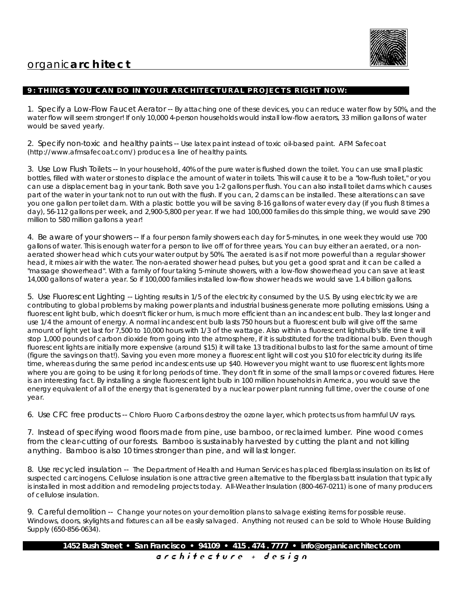

### **9: THINGS YOU CAN DO IN YOUR ARCHITECTURAL PROJECTS RIGHT NOW:**

1. Specify a Low-Flow Faucet Aerator -- By attaching one of these devices, you can reduce water flow by 50%, and the water flow will seem stronger! If only 10,000 4-person households would install low-flow aerators, 33 million gallons of water would be saved yearly.

2. Specify non-toxic and healthy paints -- Use latex paint instead of toxic oil-based paint. AFM Safecoat (http://www.afmsafecoat.com/) produces a line of healthy paints.

3. Use Low Flush Toilets -- In your household, 40% of the pure water is flushed down the toilet. You can use small plastic bottles, filled with water or stones to displace the amount of water in toilets. This will cause it to be a "low-flush toilet," or you can use a displacement bag in your tank. Both save you 1-2 gallons per flush. You can also install toilet dams which causes part of the water in your tank not to run out with the flush. If you can, 2 dams can be installed. These alterations can save you one gallon per toilet dam. With a plastic bottle you will be saving 8-16 gallons of water every day (if you flush 8 times a day), 56-112 gallons per week, and 2,900-5,800 per year. If we had 100,000 families do this simple thing, we would save 290 million to 580 million gallons a year!

4. Be aware of your showers -- If a four person family showers each day for 5-minutes, in one week they would use 700 gallons of water. This is enough water for a person to live off of for three years. You can buy either an aerated, or a nonaerated shower head which cuts your water output by 50%. The aerated is as if not more powerful than a regular shower head, it mixes air with the water. The non-aerated shower head pulses, but you get a good sprat and it can be called a "massage showerhead". With a family of four taking 5-minute showers, with a low-flow showerhead you can save at least 14,000 gallons of water a year. So if 100,000 families installed low-flow shower heads we would save 1.4 billion gallons.

5. Use Fluorescent Lighting -- Lighting results in 1/5 of the electricity consumed by the U.S. By using electricity we are contributing to global problems by making power plants and industrial business generate more polluting emissions. Using a fluorescent light bulb, which doesn't flicker or hum, is much more efficient than an incandescent bulb. They last longer and use 1/4 the amount of energy. A normal incandescent bulb lasts 750 hours but a fluorescent bulb will give off the same amount of light yet last for 7,500 to 10,000 hours with 1/3 of the wattage. Also within a fluorescent lightbulb's life time it will stop 1,000 pounds of carbon dioxide from going into the atmosphere, if it is substituted for the traditional bulb. Even though fluorescent lights are initially more expensive (around \$15) it will take 13 traditional bulbs to last for the same amount of time (figure the savings on that!). Saving you even more money a fluorescent light will cost you \$10 for electricity during its life time, whereas during the same period incandescents use up \$40. However you might want to use fluorescent lights more where you are going to be using it for long periods of time. They don't fit in some of the small lamps or covered fixtures. Here is an interesting fact. By installing a single fluorescent light bulb in 100 million households in America, you would save the energy equivalent of all of the energy that is generated by a nuclear power plant running full time, over the course of one year.

6. Use CFC free products -- Chloro Fluoro Carbons destroy the ozone layer, which protects us from harmful UV rays.

7. Instead of specifying wood floors made from pine, use bamboo, or reclaimed lumber. Pine wood comes from the clear-cutting of our forests. Bamboo is sustainably harvested by cutting the plant and not killing anything. Bamboo is also 10 times stronger than pine, and will last longer.

8. Use recycled insulation -- The Department of Health and Human Services has placed fiberglass insulation on its list of suspected carcinogens. Cellulose insulation is one attractive green alternative to the fiberglass batt insulation that typically is installed in most addition and remodeling projects today. All-Weather Insulation (800-467-0211) is one of many producers of cellulose insulation.

9. Careful demolition -- Change your notes on your demolition plans to salvage existing items for possible reuse. Windows, doors, skylights and fixtures can all be easily salvaged. Anything not reused can be sold to Whole House Building Supply (650-856-0634).

**1452 Bush Street • San Francisco • 94109 • 415 . 474 . 7777 • info@organicarchitect.com** a r c h i t e c t u r e + d e s i g n